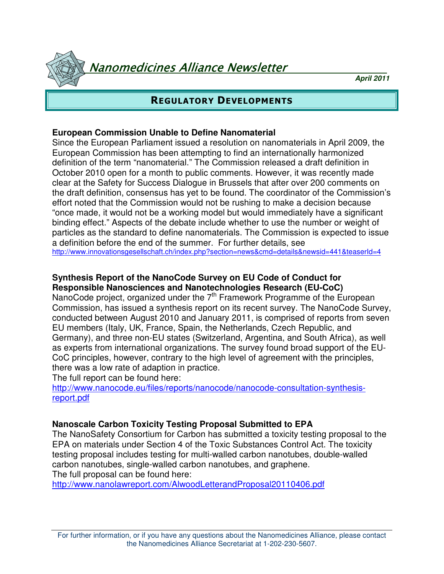Nanomedicines Alliance Newsletter

**April 2011**

# REGULATORY DEVELOPMENTS

### **European Commission Unable to Define Nanomaterial**

Since the European Parliament issued a resolution on nanomaterials in April 2009, the European Commission has been attempting to find an internationally harmonized definition of the term "nanomaterial." The Commission released a draft definition in October 2010 open for a month to public comments. However, it was recently made clear at the Safety for Success Dialogue in Brussels that after over 200 comments on the draft definition, consensus has yet to be found. The coordinator of the Commission's effort noted that the Commission would not be rushing to make a decision because "once made, it would not be a working model but would immediately have a significant binding effect." Aspects of the debate include whether to use the number or weight of particles as the standard to define nanomaterials. The Commission is expected to issue a definition before the end of the summer. For further details, see http://www.innovationsgesellschaft.ch/index.php?section=news&cmd=details&newsid=441&teaserId=4

### **Synthesis Report of the NanoCode Survey on EU Code of Conduct for Responsible Nanosciences and Nanotechnologies Research (EU-CoC)**

NanoCode project, organized under the  $7<sup>th</sup>$  Framework Programme of the European Commission, has issued a synthesis report on its recent survey. The NanoCode Survey, conducted between August 2010 and January 2011, is comprised of reports from seven EU members (Italy, UK, France, Spain, the Netherlands, Czech Republic, and Germany), and three non-EU states (Switzerland, Argentina, and South Africa), as well as experts from international organizations. The survey found broad support of the EU-CoC principles, however, contrary to the high level of agreement with the principles, there was a low rate of adaption in practice.

The full report can be found here:

http://www.nanocode.eu/files/reports/nanocode/nanocode-consultation-synthesisreport.pdf

### **Nanoscale Carbon Toxicity Testing Proposal Submitted to EPA**

The NanoSafety Consortium for Carbon has submitted a toxicity testing proposal to the EPA on materials under Section 4 of the Toxic Substances Control Act. The toxicity testing proposal includes testing for multi-walled carbon nanotubes, double-walled carbon nanotubes, single-walled carbon nanotubes, and graphene. The full proposal can be found here:

http://www.nanolawreport.com/AlwoodLetterandProposal20110406.pdf

For further information, or if you have any questions about the Nanomedicines Alliance, please contact the Nanomedicines Alliance Secretariat at 1-202-230-5607.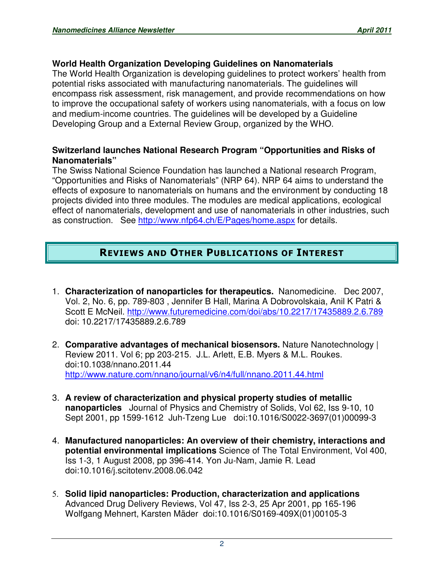### **World Health Organization Developing Guidelines on Nanomaterials**

The World Health Organization is developing guidelines to protect workers' health from potential risks associated with manufacturing nanomaterials. The guidelines will encompass risk assessment, risk management, and provide recommendations on how to improve the occupational safety of workers using nanomaterials, with a focus on low and medium-income countries. The guidelines will be developed by a Guideline Developing Group and a External Review Group, organized by the WHO.

### **Switzerland launches National Research Program "Opportunities and Risks of Nanomaterials"**

The Swiss National Science Foundation has launched a National research Program, "Opportunities and Risks of Nanomaterials" (NRP 64). NRP 64 aims to understand the effects of exposure to nanomaterials on humans and the environment by conducting 18 projects divided into three modules. The modules are medical applications, ecological effect of nanomaterials, development and use of nanomaterials in other industries, such as construction. See http://www.nfp64.ch/E/Pages/home.aspx for details.

# REVIEWS AND OTHER PUBLICATIONS OF INTEREST

- 1. **Characterization of nanoparticles for therapeutics.** Nanomedicine. Dec 2007, Vol. 2, No. 6, pp. 789-803 , Jennifer B Hall, Marina A Dobrovolskaia, Anil K Patri & Scott E McNeil. http://www.futuremedicine.com/doi/abs/10.2217/17435889.2.6.789 doi: 10.2217/17435889.2.6.789
- 2. **Comparative advantages of mechanical biosensors.** Nature Nanotechnology | Review 2011. Vol 6; pp 203-215. J.L. Arlett, E.B. Myers & M.L. Roukes. doi:10.1038/nnano.2011.44 http://www.nature.com/nnano/journal/v6/n4/full/nnano.2011.44.html
- 3. **A review of characterization and physical property studies of metallic nanoparticles** Journal of Physics and Chemistry of Solids, Vol 62, Iss 9-10, 10 Sept 2001, pp 1599-1612 Juh-Tzeng Lue doi:10.1016/S0022-3697(01)00099-3
- 4. **Manufactured nanoparticles: An overview of their chemistry, interactions and potential environmental implications** Science of The Total Environment, Vol 400, Iss 1-3, 1 August 2008, pp 396-414. Yon Ju-Nam, Jamie R. Lead doi:10.1016/j.scitotenv.2008.06.042
- 5. **Solid lipid nanoparticles: Production, characterization and applications** Advanced Drug Delivery Reviews, Vol 47, Iss 2-3, 25 Apr 2001, pp 165-196 Wolfgang Mehnert, Karsten Mäder doi:10.1016/S0169-409X(01)00105-3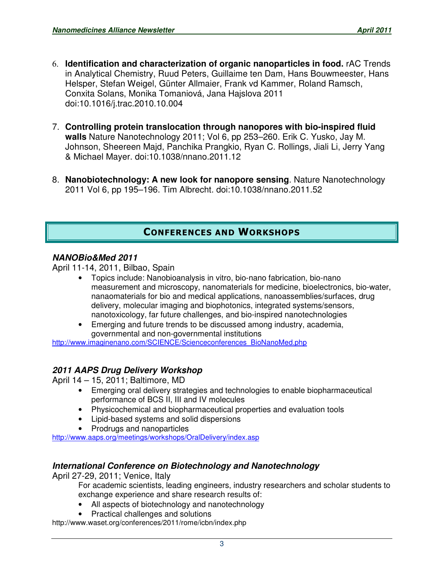- 6. **Identification and characterization of organic nanoparticles in food.** rAC Trends in Analytical Chemistry, Ruud Peters, Guillaime ten Dam, Hans Bouwmeester, Hans Helsper, Stefan Weigel, Günter Allmaier, Frank vd Kammer, Roland Ramsch, Conxita Solans, Monika Tomaniová, Jana Hajslova 2011 doi:10.1016/j.trac.2010.10.004
- 7. **Controlling protein translocation through nanopores with bio-inspired fluid walls** Nature Nanotechnology 2011; Vol 6, pp 253–260. Erik C. Yusko, Jay M. Johnson, Sheereen Majd, Panchika Prangkio, Ryan C. Rollings, Jiali Li, Jerry Yang & Michael Mayer. doi:10.1038/nnano.2011.12
- 8. **Nanobiotechnology: A new look for nanopore sensing**. Nature Nanotechnology 2011 Vol 6, pp 195–196. Tim Albrecht. doi:10.1038/nnano.2011.52

# CONFERENCES AND WORKSHOPS

#### **NANOBio&Med 2011**

April 11-14, 2011, Bilbao, Spain

- Topics include: Nanobioanalysis in vitro, bio-nano fabrication, bio-nano measurement and microscopy, nanomaterials for medicine, bioelectronics, bio-water, nanaomaterials for bio and medical applications, nanoassemblies/surfaces, drug delivery, molecular imaging and biophotonics, integrated systems/sensors, nanotoxicology, far future challenges, and bio-inspired nanotechnologies
- Emerging and future trends to be discussed among industry, academia, governmental and non-governmental institutions

http://www.imaginenano.com/SCIENCE/Scienceconferences\_BioNanoMed.php

### **2011 AAPS Drug Delivery Workshop**

April 14 – 15, 2011; Baltimore, MD

- Emerging oral delivery strategies and technologies to enable biopharmaceutical performance of BCS II, III and IV molecules
- Physicochemical and biopharmaceutical properties and evaluation tools
- Lipid-based systems and solid dispersions
- Prodrugs and nanoparticles

http://www.aaps.org/meetings/workshops/OralDelivery/index.asp

#### **International Conference on Biotechnology and Nanotechnology**

April 27-29, 2011; Venice, Italy

For academic scientists, leading engineers, industry researchers and scholar students to exchange experience and share research results of:

- All aspects of biotechnology and nanotechnology
- Practical challenges and solutions

http://www.waset.org/conferences/2011/rome/icbn/index.php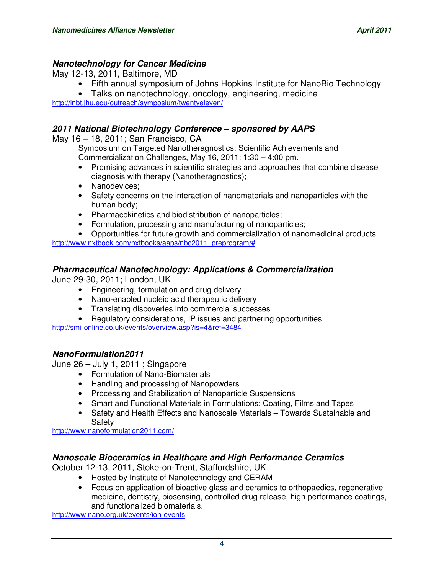### **Nanotechnology for Cancer Medicine**

May 12-13, 2011, Baltimore, MD

- Fifth annual symposium of Johns Hopkins Institute for NanoBio Technology
- Talks on nanotechnology, oncology, engineering, medicine

http://inbt.jhu.edu/outreach/symposium/twentyeleven/

# **2011 National Biotechnology Conference – sponsored by AAPS**

May 16 – 18, 2011; San Francisco, CA

Symposium on Targeted Nanotheragnostics: Scientific Achievements and Commercialization Challenges, May 16, 2011: 1:30 – 4:00 pm.

- Promising advances in scientific strategies and approaches that combine disease diagnosis with therapy (Nanotheragnostics);
- Nanodevices:
- Safety concerns on the interaction of nanomaterials and nanoparticles with the human body;
- Pharmacokinetics and biodistribution of nanoparticles;
- Formulation, processing and manufacturing of nanoparticles;

• Opportunities for future growth and commercialization of nanomedicinal products http://www.nxtbook.com/nxtbooks/aaps/nbc2011\_preprogram/#

# **Pharmaceutical Nanotechnology: Applications & Commercialization**

June 29-30, 2011; London, UK

- Engineering, formulation and drug delivery
- Nano-enabled nucleic acid therapeutic delivery
- Translating discoveries into commercial successes
- Regulatory considerations, IP issues and partnering opportunities

http://smi-online.co.uk/events/overview.asp?is=4&ref=3484

# **NanoFormulation2011**

June 26 – July 1, 2011 ; Singapore

- Formulation of Nano-Biomaterials
- Handling and processing of Nanopowders
- Processing and Stabilization of Nanoparticle Suspensions
- Smart and Functional Materials in Formulations: Coating, Films and Tapes
- Safety and Health Effects and Nanoscale Materials Towards Sustainable and Safety

http://www.nanoformulation2011.com/

# **Nanoscale Bioceramics in Healthcare and High Performance Ceramics**

October 12-13, 2011, Stoke-on-Trent, Staffordshire, UK

- Hosted by Institute of Nanotechnology and CERAM
- Focus on application of bioactive glass and ceramics to orthopaedics, regenerative medicine, dentistry, biosensing, controlled drug release, high performance coatings, and functionalized biomaterials.

http://www.nano.org.uk/events/ion-events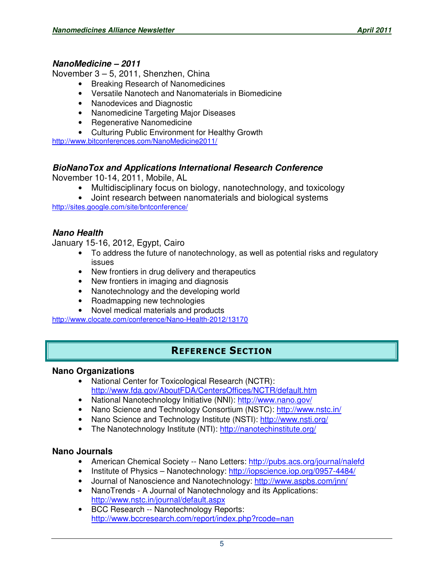#### **NanoMedicine – 2011**

November 3 – 5, 2011, Shenzhen, China

- Breaking Research of Nanomedicines
- Versatile Nanotech and Nanomaterials in Biomedicine
- Nanodevices and Diagnostic
- Nanomedicine Targeting Major Diseases
- Regenerative Nanomedicine
- Culturing Public Environment for Healthy Growth

http://www.bitconferences.com/NanoMedicine2011/

#### **BioNanoTox and Applications International Research Conference**

November 10-14, 2011, Mobile, AL

- Multidisciplinary focus on biology, nanotechnology, and toxicology
- Joint research between nanomaterials and biological systems

http://sites.google.com/site/bntconference/

#### **Nano Health**

January 15-16, 2012, Egypt, Cairo

- To address the future of nanotechnology, as well as potential risks and regulatory issues
- New frontiers in drug delivery and therapeutics
- New frontiers in imaging and diagnosis
- Nanotechnology and the developing world
- Roadmapping new technologies
- Novel medical materials and products

http://www.clocate.com/conference/Nano-Health-2012/13170

# REFERENCE SECTION

#### **Nano Organizations**

- National Center for Toxicological Research (NCTR): http://www.fda.gov/AboutFDA/CentersOffices/NCTR/default.htm
- National Nanotechnology Initiative (NNI): http://www.nano.gov/
- Nano Science and Technology Consortium (NSTC): http://www.nstc.in/
- Nano Science and Technology Institute (NSTI): http://www.nsti.org/
- The Nanotechnology Institute (NTI): http://nanotechinstitute.org/

#### **Nano Journals**

- American Chemical Society -- Nano Letters: http://pubs.acs.org/journal/nalefd
- Institute of Physics Nanotechnology: http://iopscience.iop.org/0957-4484/
- Journal of Nanoscience and Nanotechnology: http://www.aspbs.com/jnn/
- NanoTrends A Journal of Nanotechnology and its Applications: http://www.nstc.in/journal/default.aspx
- BCC Research -- Nanotechnology Reports: http://www.bccresearch.com/report/index.php?rcode=nan